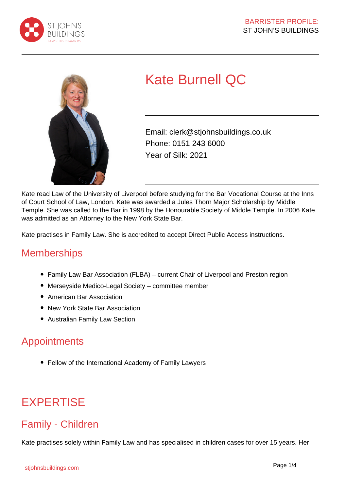



# Kate Burnell QC

Email: clerk@stjohnsbuildings.co.uk Phone: 0151 243 6000 Year of Silk: 2021

Kate read Law of the University of Liverpool before studying for the Bar Vocational Course at the Inns of Court School of Law, London. Kate was awarded a Jules Thorn Major Scholarship by Middle Temple. She was called to the Bar in 1998 by the Honourable Society of Middle Temple. In 2006 Kate was admitted as an Attorney to the New York State Bar.

Kate practises in Family Law. She is accredited to accept Direct Public Access instructions.

# **Memberships**

- Family Law Bar Association (FLBA) current Chair of Liverpool and Preston region
- Merseyside Medico-Legal Society committee member
- American Bar Association
- New York State Bar Association
- Australian Family Law Section

## **Appointments**

Fellow of the International Academy of Family Lawyers

# EXPERTISE

# Family - Children

Kate practises solely within Family Law and has specialised in children cases for over 15 years. Her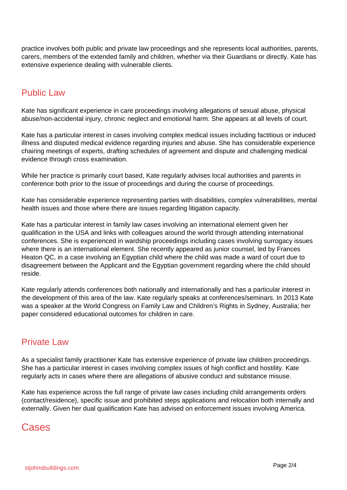practice involves both public and private law proceedings and she represents local authorities, parents, carers, members of the extended family and children, whether via their Guardians or directly. Kate has extensive experience dealing with vulnerable clients.

### Public Law

Kate has significant experience in care proceedings involving allegations of sexual abuse, physical abuse/non-accidental injury, chronic neglect and emotional harm. She appears at all levels of court.

Kate has a particular interest in cases involving complex medical issues including factitious or induced illness and disputed medical evidence regarding injuries and abuse. She has considerable experience chairing meetings of experts, drafting schedules of agreement and dispute and challenging medical evidence through cross examination.

While her practice is primarily court based, Kate regularly advises local authorities and parents in conference both prior to the issue of proceedings and during the course of proceedings.

Kate has considerable experience representing parties with disabilities, complex vulnerabilities, mental health issues and those where there are issues regarding litigation capacity.

Kate has a particular interest in family law cases involving an international element given her qualification in the USA and links with colleagues around the world through attending international conferences. She is experienced in wardship proceedings including cases involving surrogacy issues where there is an international element. She recently appeared as junior counsel, led by Frances Heaton QC, in a case involving an Egyptian child where the child was made a ward of court due to disagreement between the Applicant and the Egyptian government regarding where the child should reside.

Kate regularly attends conferences both nationally and internationally and has a particular interest in the development of this area of the law. Kate regularly speaks at conferences/seminars. In 2013 Kate was a speaker at the World Congress on Family Law and Children's Rights in Sydney, Australia; her paper considered educational outcomes for children in care.

### Private Law

As a specialist family practitioner Kate has extensive experience of private law children proceedings. She has a particular interest in cases involving complex issues of high conflict and hostility. Kate regularly acts in cases where there are allegations of abusive conduct and substance misuse.

Kate has experience across the full range of private law cases including child arrangements orders (contact/residence), specific issue and prohibited steps applications and relocation both internally and externally. Given her dual qualification Kate has advised on enforcement issues involving America.

# Cases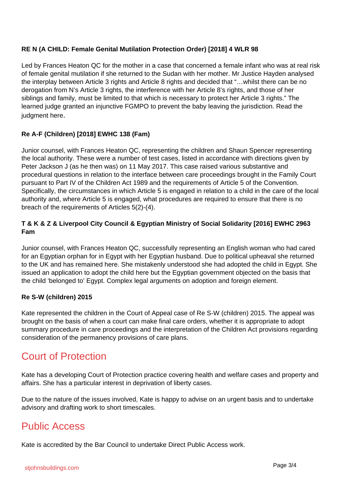#### **RE N (A CHILD: Female Genital Mutilation Protection Order) [2018] 4 WLR 98**

Led by Frances Heaton QC for the mother in a case that concerned a female infant who was at real risk of female genital mutilation if she returned to the Sudan with her mother. Mr Justice Hayden analysed the interplay between Article 3 rights and Article 8 rights and decided that "…whilst there can be no derogation from N's Article 3 rights, the interference with her Article 8's rights, and those of her siblings and family, must be limited to that which is necessary to protect her Article 3 rights." The learned judge granted an injunctive FGMPO to prevent the baby leaving the jurisdiction. Read the judgment here.

#### **Re A-F (Children) [2018] EWHC 138 (Fam)**

Junior counsel, with Frances Heaton QC, representing the children and Shaun Spencer representing the local authority. These were a number of test cases, listed in accordance with directions given by Peter Jackson J (as he then was) on 11 May 2017. This case raised various substantive and procedural questions in relation to the interface between care proceedings brought in the Family Court pursuant to Part IV of the Children Act 1989 and the requirements of Article 5 of the Convention. Specifically, the circumstances in which Article 5 is engaged in relation to a child in the care of the local authority and, where Article 5 is engaged, what procedures are required to ensure that there is no breach of the requirements of Articles 5(2)-(4).

#### **T & K & Z & Liverpool City Council & Egyptian Ministry of Social Solidarity [2016] EWHC 2963 Fam**

Junior counsel, with Frances Heaton QC, successfully representing an English woman who had cared for an Egyptian orphan for in Egypt with her Egyptian husband. Due to political upheaval she returned to the UK and has remained here. She mistakenly understood she had adopted the child in Egypt. She issued an application to adopt the child here but the Egyptian government objected on the basis that the child 'belonged to' Egypt. Complex legal arguments on adoption and foreign element.

#### **Re S-W (children) 2015**

Kate represented the children in the Court of Appeal case of Re S-W (children) 2015. The appeal was brought on the basis of when a court can make final care orders, whether it is appropriate to adopt summary procedure in care proceedings and the interpretation of the Children Act provisions regarding consideration of the permanency provisions of care plans.

## Court of Protection

Kate has a developing Court of Protection practice covering health and welfare cases and property and affairs. She has a particular interest in deprivation of liberty cases.

Due to the nature of the issues involved, Kate is happy to advise on an urgent basis and to undertake advisory and drafting work to short timescales.

# Public Access

Kate is accredited by the Bar Council to undertake Direct Public Access work.